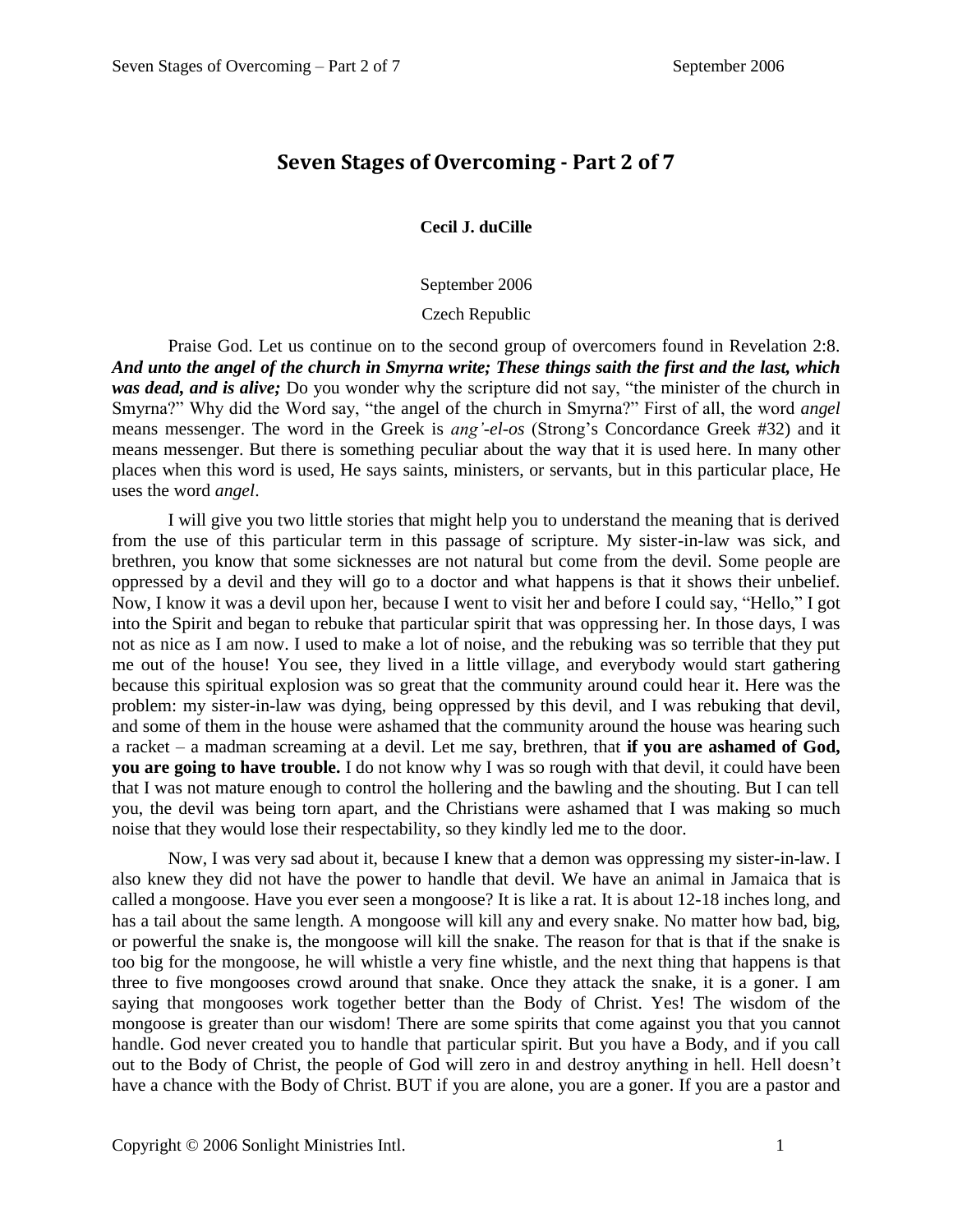## **Seven Stages of Overcoming - Part 2 of 7**

**Cecil J. duCille**

September 2006

## Czech Republic

Praise God. Let us continue on to the second group of overcomers found in Revelation 2:8. *And unto the angel of the church in Smyrna write; These things saith the first and the last, which was dead, and is alive;* Do you wonder why the scripture did not say, "the minister of the church in Smyrna?" Why did the Word say, "the angel of the church in Smyrna?" First of all, the word *angel*  means messenger. The word in the Greek is *ang'-el-os* (Strong's Concordance Greek #32) and it means messenger. But there is something peculiar about the way that it is used here. In many other places when this word is used, He says saints, ministers, or servants, but in this particular place, He uses the word *angel*.

I will give you two little stories that might help you to understand the meaning that is derived from the use of this particular term in this passage of scripture. My sister-in-law was sick, and brethren, you know that some sicknesses are not natural but come from the devil. Some people are oppressed by a devil and they will go to a doctor and what happens is that it shows their unbelief. Now, I know it was a devil upon her, because I went to visit her and before I could say, "Hello," I got into the Spirit and began to rebuke that particular spirit that was oppressing her. In those days, I was not as nice as I am now. I used to make a lot of noise, and the rebuking was so terrible that they put me out of the house! You see, they lived in a little village, and everybody would start gathering because this spiritual explosion was so great that the community around could hear it. Here was the problem: my sister-in-law was dying, being oppressed by this devil, and I was rebuking that devil, and some of them in the house were ashamed that the community around the house was hearing such a racket – a madman screaming at a devil. Let me say, brethren, that **if you are ashamed of God, you are going to have trouble.** I do not know why I was so rough with that devil, it could have been that I was not mature enough to control the hollering and the bawling and the shouting. But I can tell you, the devil was being torn apart, and the Christians were ashamed that I was making so much noise that they would lose their respectability, so they kindly led me to the door.

Now, I was very sad about it, because I knew that a demon was oppressing my sister-in-law. I also knew they did not have the power to handle that devil. We have an animal in Jamaica that is called a mongoose. Have you ever seen a mongoose? It is like a rat. It is about 12-18 inches long, and has a tail about the same length. A mongoose will kill any and every snake. No matter how bad, big, or powerful the snake is, the mongoose will kill the snake. The reason for that is that if the snake is too big for the mongoose, he will whistle a very fine whistle, and the next thing that happens is that three to five mongooses crowd around that snake. Once they attack the snake, it is a goner. I am saying that mongooses work together better than the Body of Christ. Yes! The wisdom of the mongoose is greater than our wisdom! There are some spirits that come against you that you cannot handle. God never created you to handle that particular spirit. But you have a Body, and if you call out to the Body of Christ, the people of God will zero in and destroy anything in hell. Hell doesn't have a chance with the Body of Christ. BUT if you are alone, you are a goner. If you are a pastor and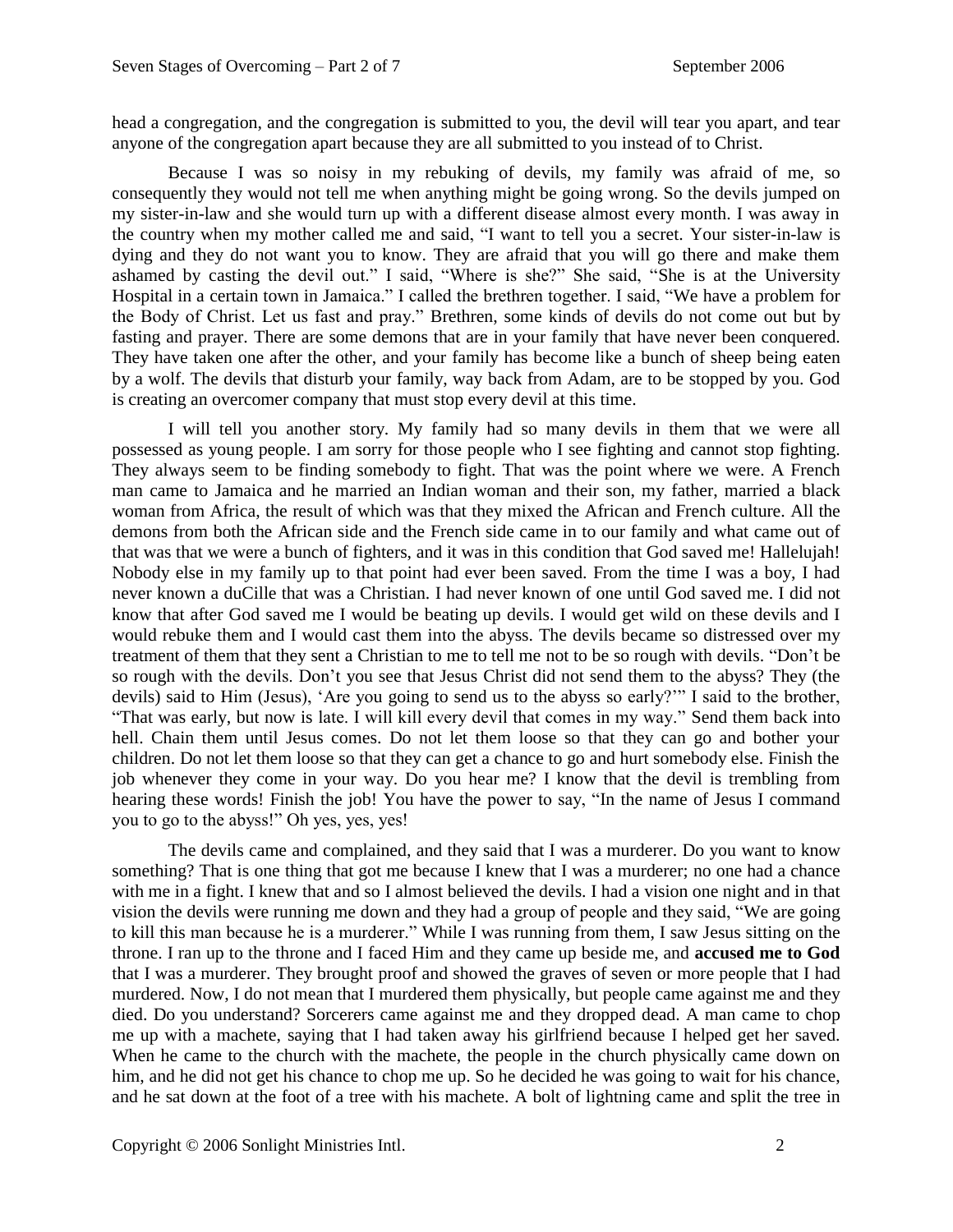head a congregation, and the congregation is submitted to you, the devil will tear you apart, and tear anyone of the congregation apart because they are all submitted to you instead of to Christ.

Because I was so noisy in my rebuking of devils, my family was afraid of me, so consequently they would not tell me when anything might be going wrong. So the devils jumped on my sister-in-law and she would turn up with a different disease almost every month. I was away in the country when my mother called me and said, "I want to tell you a secret. Your sister-in-law is dying and they do not want you to know. They are afraid that you will go there and make them ashamed by casting the devil out." I said, "Where is she?" She said, "She is at the University Hospital in a certain town in Jamaica." I called the brethren together. I said, "We have a problem for the Body of Christ. Let us fast and pray." Brethren, some kinds of devils do not come out but by fasting and prayer. There are some demons that are in your family that have never been conquered. They have taken one after the other, and your family has become like a bunch of sheep being eaten by a wolf. The devils that disturb your family, way back from Adam, are to be stopped by you. God is creating an overcomer company that must stop every devil at this time.

I will tell you another story. My family had so many devils in them that we were all possessed as young people. I am sorry for those people who I see fighting and cannot stop fighting. They always seem to be finding somebody to fight. That was the point where we were. A French man came to Jamaica and he married an Indian woman and their son, my father, married a black woman from Africa, the result of which was that they mixed the African and French culture. All the demons from both the African side and the French side came in to our family and what came out of that was that we were a bunch of fighters, and it was in this condition that God saved me! Hallelujah! Nobody else in my family up to that point had ever been saved. From the time I was a boy, I had never known a duCille that was a Christian. I had never known of one until God saved me. I did not know that after God saved me I would be beating up devils. I would get wild on these devils and I would rebuke them and I would cast them into the abyss. The devils became so distressed over my treatment of them that they sent a Christian to me to tell me not to be so rough with devils. "Don't be so rough with the devils. Don't you see that Jesus Christ did not send them to the abyss? They (the devils) said to Him (Jesus), 'Are you going to send us to the abyss so early?'" I said to the brother, "That was early, but now is late. I will kill every devil that comes in my way." Send them back into hell. Chain them until Jesus comes. Do not let them loose so that they can go and bother your children. Do not let them loose so that they can get a chance to go and hurt somebody else. Finish the job whenever they come in your way. Do you hear me? I know that the devil is trembling from hearing these words! Finish the job! You have the power to say, "In the name of Jesus I command you to go to the abyss!" Oh yes, yes, yes!

The devils came and complained, and they said that I was a murderer. Do you want to know something? That is one thing that got me because I knew that I was a murderer; no one had a chance with me in a fight. I knew that and so I almost believed the devils. I had a vision one night and in that vision the devils were running me down and they had a group of people and they said, "We are going to kill this man because he is a murderer." While I was running from them, I saw Jesus sitting on the throne. I ran up to the throne and I faced Him and they came up beside me, and **accused me to God**  that I was a murderer. They brought proof and showed the graves of seven or more people that I had murdered. Now, I do not mean that I murdered them physically, but people came against me and they died. Do you understand? Sorcerers came against me and they dropped dead. A man came to chop me up with a machete, saying that I had taken away his girlfriend because I helped get her saved. When he came to the church with the machete, the people in the church physically came down on him, and he did not get his chance to chop me up. So he decided he was going to wait for his chance, and he sat down at the foot of a tree with his machete. A bolt of lightning came and split the tree in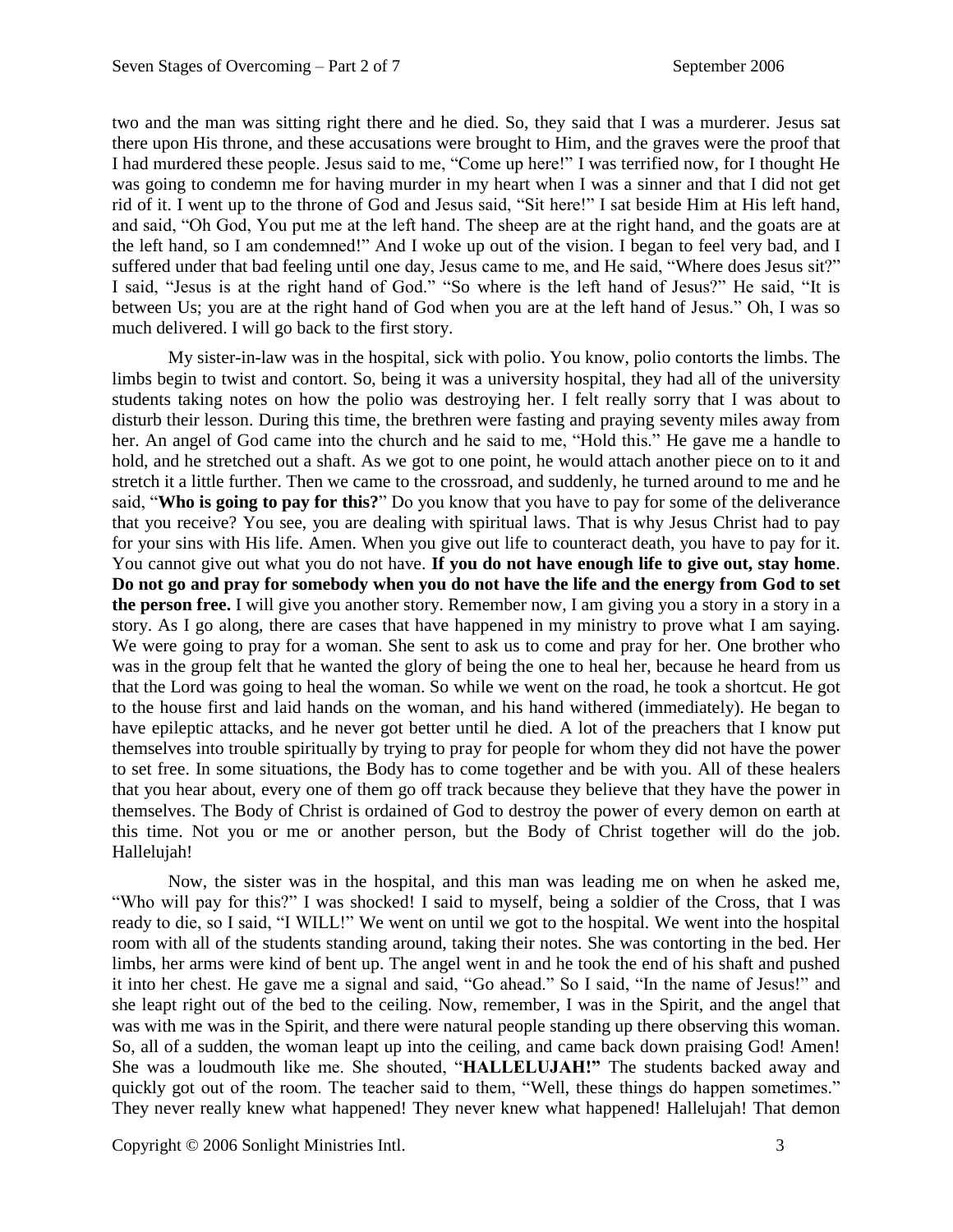two and the man was sitting right there and he died. So, they said that I was a murderer. Jesus sat there upon His throne, and these accusations were brought to Him, and the graves were the proof that I had murdered these people. Jesus said to me, "Come up here!" I was terrified now, for I thought He was going to condemn me for having murder in my heart when I was a sinner and that I did not get rid of it. I went up to the throne of God and Jesus said, "Sit here!" I sat beside Him at His left hand, and said, "Oh God, You put me at the left hand. The sheep are at the right hand, and the goats are at the left hand, so I am condemned!" And I woke up out of the vision. I began to feel very bad, and I suffered under that bad feeling until one day, Jesus came to me, and He said, "Where does Jesus sit?" I said, "Jesus is at the right hand of God." "So where is the left hand of Jesus?" He said, "It is between Us; you are at the right hand of God when you are at the left hand of Jesus." Oh, I was so much delivered. I will go back to the first story.

My sister-in-law was in the hospital, sick with polio. You know, polio contorts the limbs. The limbs begin to twist and contort. So, being it was a university hospital, they had all of the university students taking notes on how the polio was destroying her. I felt really sorry that I was about to disturb their lesson. During this time, the brethren were fasting and praying seventy miles away from her. An angel of God came into the church and he said to me, "Hold this." He gave me a handle to hold, and he stretched out a shaft. As we got to one point, he would attach another piece on to it and stretch it a little further. Then we came to the crossroad, and suddenly, he turned around to me and he said, "**Who is going to pay for this?**" Do you know that you have to pay for some of the deliverance that you receive? You see, you are dealing with spiritual laws. That is why Jesus Christ had to pay for your sins with His life. Amen. When you give out life to counteract death, you have to pay for it. You cannot give out what you do not have. **If you do not have enough life to give out, stay home**. **Do not go and pray for somebody when you do not have the life and the energy from God to set the person free.** I will give you another story. Remember now, I am giving you a story in a story in a story. As I go along, there are cases that have happened in my ministry to prove what I am saying. We were going to pray for a woman. She sent to ask us to come and pray for her. One brother who was in the group felt that he wanted the glory of being the one to heal her, because he heard from us that the Lord was going to heal the woman. So while we went on the road, he took a shortcut. He got to the house first and laid hands on the woman, and his hand withered (immediately). He began to have epileptic attacks, and he never got better until he died. A lot of the preachers that I know put themselves into trouble spiritually by trying to pray for people for whom they did not have the power to set free. In some situations, the Body has to come together and be with you. All of these healers that you hear about, every one of them go off track because they believe that they have the power in themselves. The Body of Christ is ordained of God to destroy the power of every demon on earth at this time. Not you or me or another person, but the Body of Christ together will do the job. Hallelujah!

Now, the sister was in the hospital, and this man was leading me on when he asked me, "Who will pay for this?" I was shocked! I said to myself, being a soldier of the Cross, that I was ready to die, so I said, "I WILL!" We went on until we got to the hospital. We went into the hospital room with all of the students standing around, taking their notes. She was contorting in the bed. Her limbs, her arms were kind of bent up. The angel went in and he took the end of his shaft and pushed it into her chest. He gave me a signal and said, "Go ahead." So I said, "In the name of Jesus!" and she leapt right out of the bed to the ceiling. Now, remember, I was in the Spirit, and the angel that was with me was in the Spirit, and there were natural people standing up there observing this woman. So, all of a sudden, the woman leapt up into the ceiling, and came back down praising God! Amen! She was a loudmouth like me. She shouted, "**HALLELUJAH!"** The students backed away and quickly got out of the room. The teacher said to them, "Well, these things do happen sometimes." They never really knew what happened! They never knew what happened! Hallelujah! That demon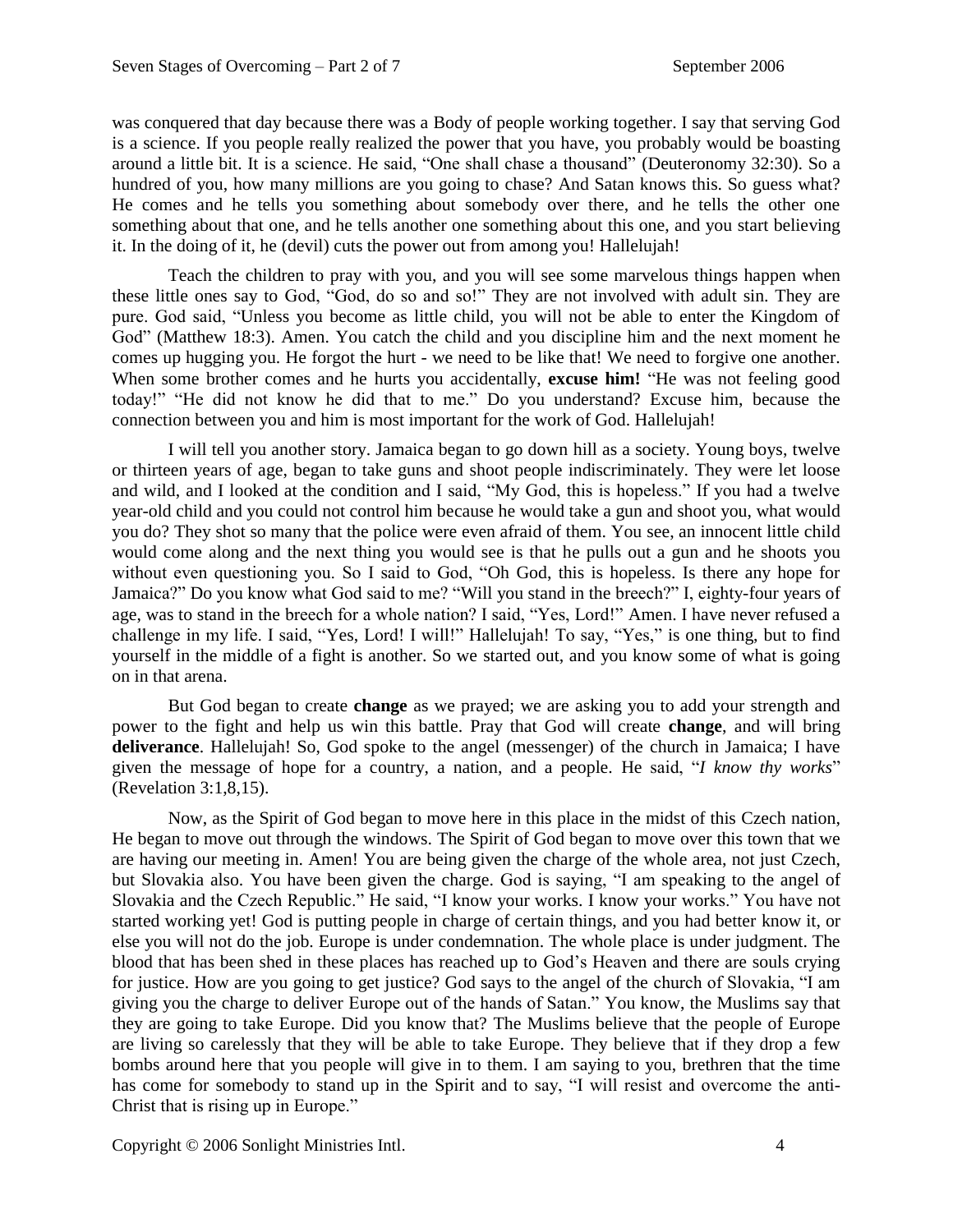was conquered that day because there was a Body of people working together. I say that serving God is a science. If you people really realized the power that you have, you probably would be boasting around a little bit. It is a science. He said, "One shall chase a thousand" (Deuteronomy 32:30). So a hundred of you, how many millions are you going to chase? And Satan knows this. So guess what? He comes and he tells you something about somebody over there, and he tells the other one something about that one, and he tells another one something about this one, and you start believing it. In the doing of it, he (devil) cuts the power out from among you! Hallelujah!

Teach the children to pray with you, and you will see some marvelous things happen when these little ones say to God, "God, do so and so!" They are not involved with adult sin. They are pure. God said, "Unless you become as little child, you will not be able to enter the Kingdom of God" (Matthew 18:3). Amen. You catch the child and you discipline him and the next moment he comes up hugging you. He forgot the hurt - we need to be like that! We need to forgive one another. When some brother comes and he hurts you accidentally, **excuse him!** "He was not feeling good today!" "He did not know he did that to me." Do you understand? Excuse him, because the connection between you and him is most important for the work of God. Hallelujah!

I will tell you another story. Jamaica began to go down hill as a society. Young boys, twelve or thirteen years of age, began to take guns and shoot people indiscriminately. They were let loose and wild, and I looked at the condition and I said, "My God, this is hopeless." If you had a twelve year-old child and you could not control him because he would take a gun and shoot you, what would you do? They shot so many that the police were even afraid of them. You see, an innocent little child would come along and the next thing you would see is that he pulls out a gun and he shoots you without even questioning you. So I said to God, "Oh God, this is hopeless. Is there any hope for Jamaica?" Do you know what God said to me? "Will you stand in the breech?" I, eighty-four years of age, was to stand in the breech for a whole nation? I said, "Yes, Lord!" Amen. I have never refused a challenge in my life. I said, "Yes, Lord! I will!" Hallelujah! To say, "Yes," is one thing, but to find yourself in the middle of a fight is another. So we started out, and you know some of what is going on in that arena.

But God began to create **change** as we prayed; we are asking you to add your strength and power to the fight and help us win this battle. Pray that God will create **change**, and will bring **deliverance**. Hallelujah! So, God spoke to the angel (messenger) of the church in Jamaica; I have given the message of hope for a country, a nation, and a people. He said, "*I know thy works*" (Revelation 3:1,8,15).

Now, as the Spirit of God began to move here in this place in the midst of this Czech nation, He began to move out through the windows. The Spirit of God began to move over this town that we are having our meeting in. Amen! You are being given the charge of the whole area, not just Czech, but Slovakia also. You have been given the charge. God is saying, "I am speaking to the angel of Slovakia and the Czech Republic." He said, "I know your works. I know your works." You have not started working yet! God is putting people in charge of certain things, and you had better know it, or else you will not do the job. Europe is under condemnation. The whole place is under judgment. The blood that has been shed in these places has reached up to God's Heaven and there are souls crying for justice. How are you going to get justice? God says to the angel of the church of Slovakia, "I am giving you the charge to deliver Europe out of the hands of Satan." You know, the Muslims say that they are going to take Europe. Did you know that? The Muslims believe that the people of Europe are living so carelessly that they will be able to take Europe. They believe that if they drop a few bombs around here that you people will give in to them. I am saying to you, brethren that the time has come for somebody to stand up in the Spirit and to say, "I will resist and overcome the anti-Christ that is rising up in Europe."

Copyright © 2006 Sonlight Ministries Intl. 4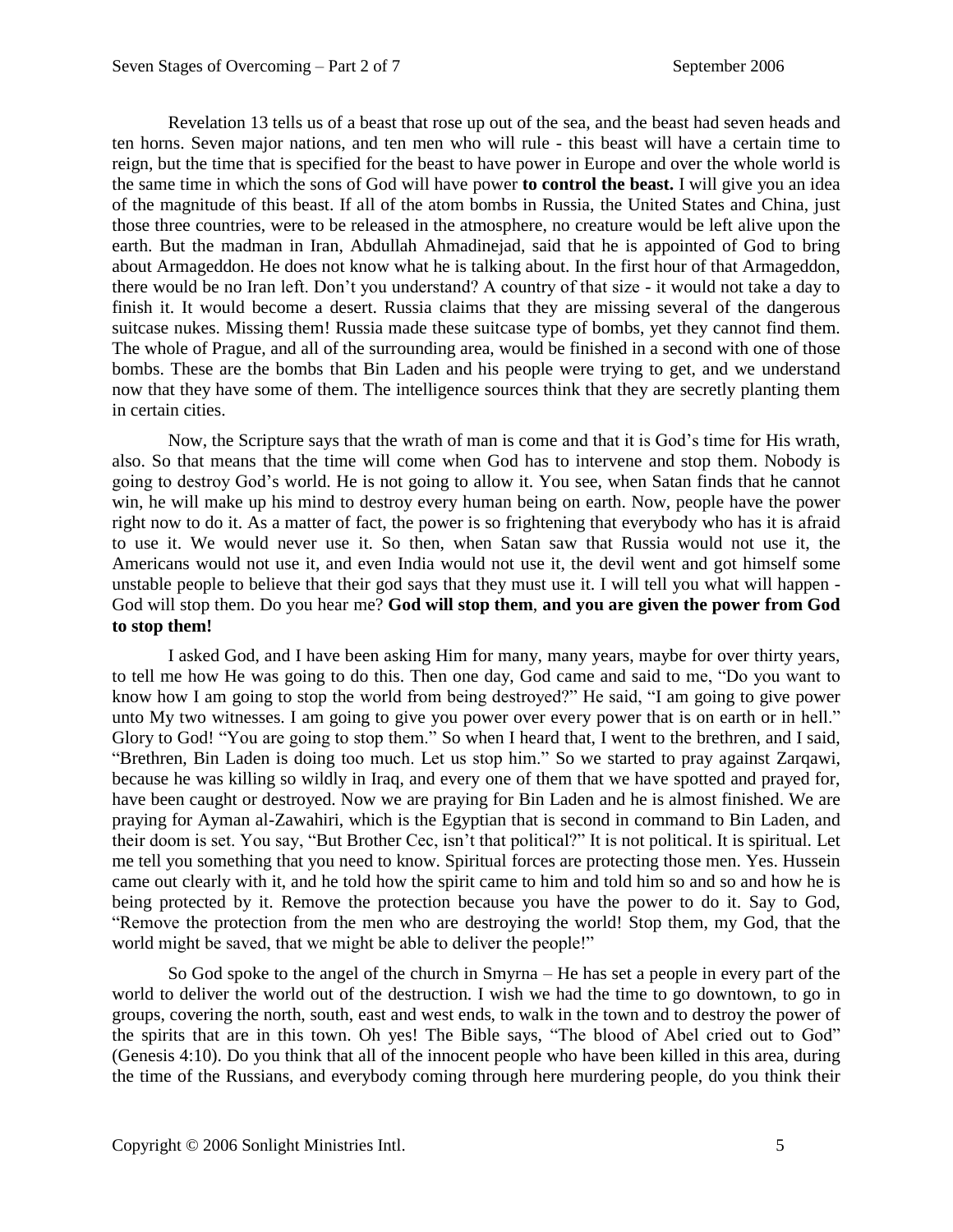Revelation 13 tells us of a beast that rose up out of the sea, and the beast had seven heads and ten horns. Seven major nations, and ten men who will rule - this beast will have a certain time to reign, but the time that is specified for the beast to have power in Europe and over the whole world is the same time in which the sons of God will have power **to control the beast.** I will give you an idea of the magnitude of this beast. If all of the atom bombs in Russia, the United States and China, just those three countries, were to be released in the atmosphere, no creature would be left alive upon the earth. But the madman in Iran, Abdullah Ahmadinejad, said that he is appointed of God to bring about Armageddon. He does not know what he is talking about. In the first hour of that Armageddon, there would be no Iran left. Don't you understand? A country of that size - it would not take a day to finish it. It would become a desert. Russia claims that they are missing several of the dangerous suitcase nukes. Missing them! Russia made these suitcase type of bombs, yet they cannot find them. The whole of Prague, and all of the surrounding area, would be finished in a second with one of those bombs. These are the bombs that Bin Laden and his people were trying to get, and we understand now that they have some of them. The intelligence sources think that they are secretly planting them in certain cities.

Now, the Scripture says that the wrath of man is come and that it is God's time for His wrath, also. So that means that the time will come when God has to intervene and stop them. Nobody is going to destroy God's world. He is not going to allow it. You see, when Satan finds that he cannot win, he will make up his mind to destroy every human being on earth. Now, people have the power right now to do it. As a matter of fact, the power is so frightening that everybody who has it is afraid to use it. We would never use it. So then, when Satan saw that Russia would not use it, the Americans would not use it, and even India would not use it, the devil went and got himself some unstable people to believe that their god says that they must use it. I will tell you what will happen - God will stop them. Do you hear me? **God will stop them**, **and you are given the power from God to stop them!**

I asked God, and I have been asking Him for many, many years, maybe for over thirty years, to tell me how He was going to do this. Then one day, God came and said to me, "Do you want to know how I am going to stop the world from being destroyed?" He said, "I am going to give power unto My two witnesses. I am going to give you power over every power that is on earth or in hell." Glory to God! "You are going to stop them." So when I heard that, I went to the brethren, and I said, "Brethren, Bin Laden is doing too much. Let us stop him." So we started to pray against Zarqawi, because he was killing so wildly in Iraq, and every one of them that we have spotted and prayed for, have been caught or destroyed. Now we are praying for Bin Laden and he is almost finished. We are praying for Ayman al-Zawahiri, which is the Egyptian that is second in command to Bin Laden, and their doom is set. You say, "But Brother Cec, isn't that political?" It is not political. It is spiritual. Let me tell you something that you need to know. Spiritual forces are protecting those men. Yes. Hussein came out clearly with it, and he told how the spirit came to him and told him so and so and how he is being protected by it. Remove the protection because you have the power to do it. Say to God, "Remove the protection from the men who are destroying the world! Stop them, my God, that the world might be saved, that we might be able to deliver the people!"

So God spoke to the angel of the church in Smyrna – He has set a people in every part of the world to deliver the world out of the destruction. I wish we had the time to go downtown, to go in groups, covering the north, south, east and west ends, to walk in the town and to destroy the power of the spirits that are in this town. Oh yes! The Bible says, "The blood of Abel cried out to God" (Genesis 4:10). Do you think that all of the innocent people who have been killed in this area, during the time of the Russians, and everybody coming through here murdering people, do you think their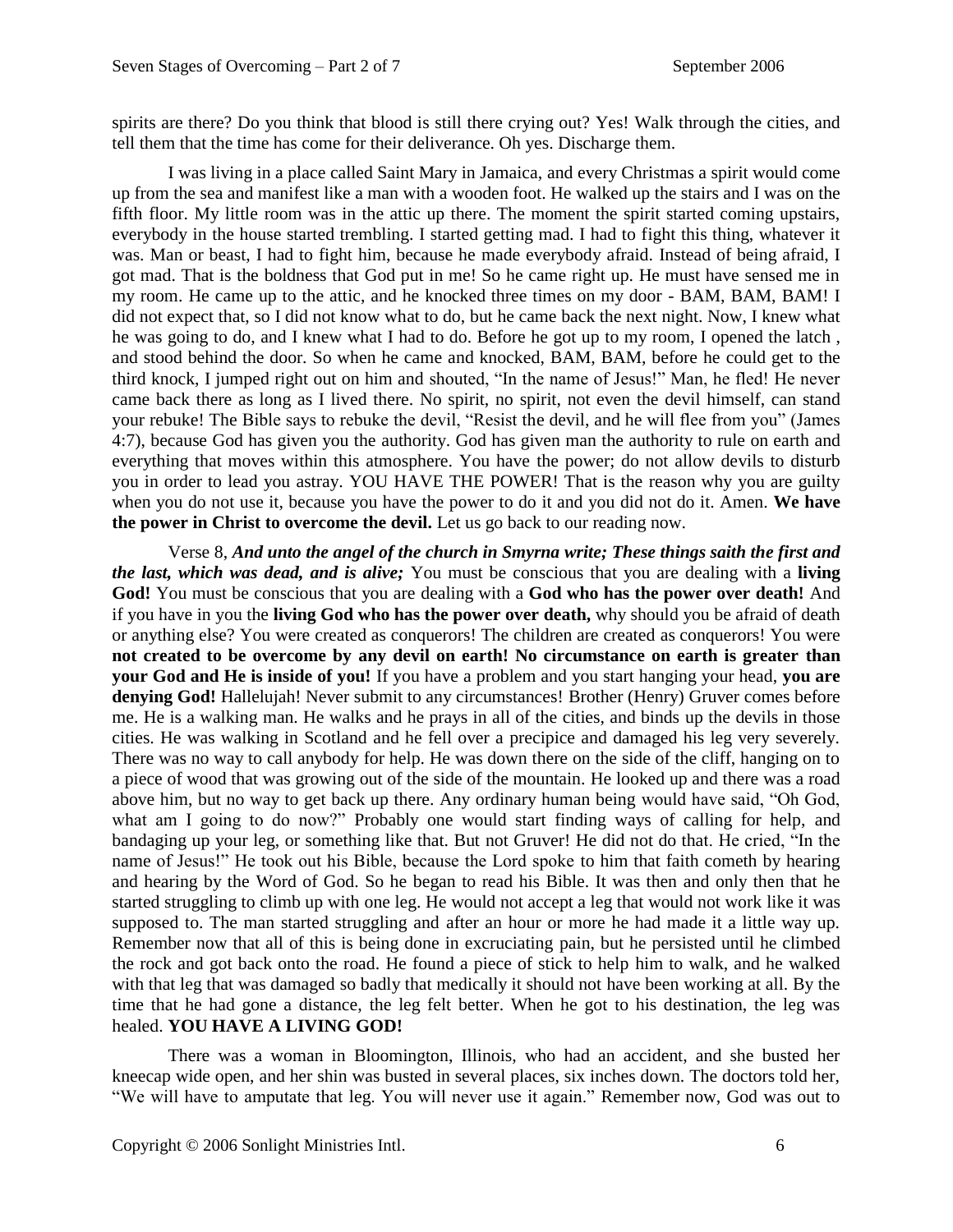spirits are there? Do you think that blood is still there crying out? Yes! Walk through the cities, and tell them that the time has come for their deliverance. Oh yes. Discharge them.

I was living in a place called Saint Mary in Jamaica, and every Christmas a spirit would come up from the sea and manifest like a man with a wooden foot. He walked up the stairs and I was on the fifth floor. My little room was in the attic up there. The moment the spirit started coming upstairs, everybody in the house started trembling. I started getting mad. I had to fight this thing, whatever it was. Man or beast, I had to fight him, because he made everybody afraid. Instead of being afraid, I got mad. That is the boldness that God put in me! So he came right up. He must have sensed me in my room. He came up to the attic, and he knocked three times on my door - BAM, BAM, BAM! I did not expect that, so I did not know what to do, but he came back the next night. Now, I knew what he was going to do, and I knew what I had to do. Before he got up to my room, I opened the latch , and stood behind the door. So when he came and knocked, BAM, BAM, before he could get to the third knock, I jumped right out on him and shouted, "In the name of Jesus!" Man, he fled! He never came back there as long as I lived there. No spirit, no spirit, not even the devil himself, can stand your rebuke! The Bible says to rebuke the devil, "Resist the devil, and he will flee from you" (James 4:7), because God has given you the authority. God has given man the authority to rule on earth and everything that moves within this atmosphere. You have the power; do not allow devils to disturb you in order to lead you astray. YOU HAVE THE POWER! That is the reason why you are guilty when you do not use it, because you have the power to do it and you did not do it. Amen. **We have the power in Christ to overcome the devil.** Let us go back to our reading now.

Verse 8, *And unto the angel of the church in Smyrna write; These things saith the first and the last, which was dead, and is alive;* You must be conscious that you are dealing with a **living God!** You must be conscious that you are dealing with a **God who has the power over death!** And if you have in you the **living God who has the power over death,** why should you be afraid of death or anything else? You were created as conquerors! The children are created as conquerors! You were **not created to be overcome by any devil on earth! No circumstance on earth is greater than your God and He is inside of you!** If you have a problem and you start hanging your head, **you are denying God!** Hallelujah! Never submit to any circumstances! Brother (Henry) Gruver comes before me. He is a walking man. He walks and he prays in all of the cities, and binds up the devils in those cities. He was walking in Scotland and he fell over a precipice and damaged his leg very severely. There was no way to call anybody for help. He was down there on the side of the cliff, hanging on to a piece of wood that was growing out of the side of the mountain. He looked up and there was a road above him, but no way to get back up there. Any ordinary human being would have said, "Oh God, what am I going to do now?" Probably one would start finding ways of calling for help, and bandaging up your leg, or something like that. But not Gruver! He did not do that. He cried, "In the name of Jesus!" He took out his Bible, because the Lord spoke to him that faith cometh by hearing and hearing by the Word of God. So he began to read his Bible. It was then and only then that he started struggling to climb up with one leg. He would not accept a leg that would not work like it was supposed to. The man started struggling and after an hour or more he had made it a little way up. Remember now that all of this is being done in excruciating pain, but he persisted until he climbed the rock and got back onto the road. He found a piece of stick to help him to walk, and he walked with that leg that was damaged so badly that medically it should not have been working at all. By the time that he had gone a distance, the leg felt better. When he got to his destination, the leg was healed. **YOU HAVE A LIVING GOD!**

There was a woman in Bloomington, Illinois, who had an accident, and she busted her kneecap wide open, and her shin was busted in several places, six inches down. The doctors told her, "We will have to amputate that leg. You will never use it again." Remember now, God was out to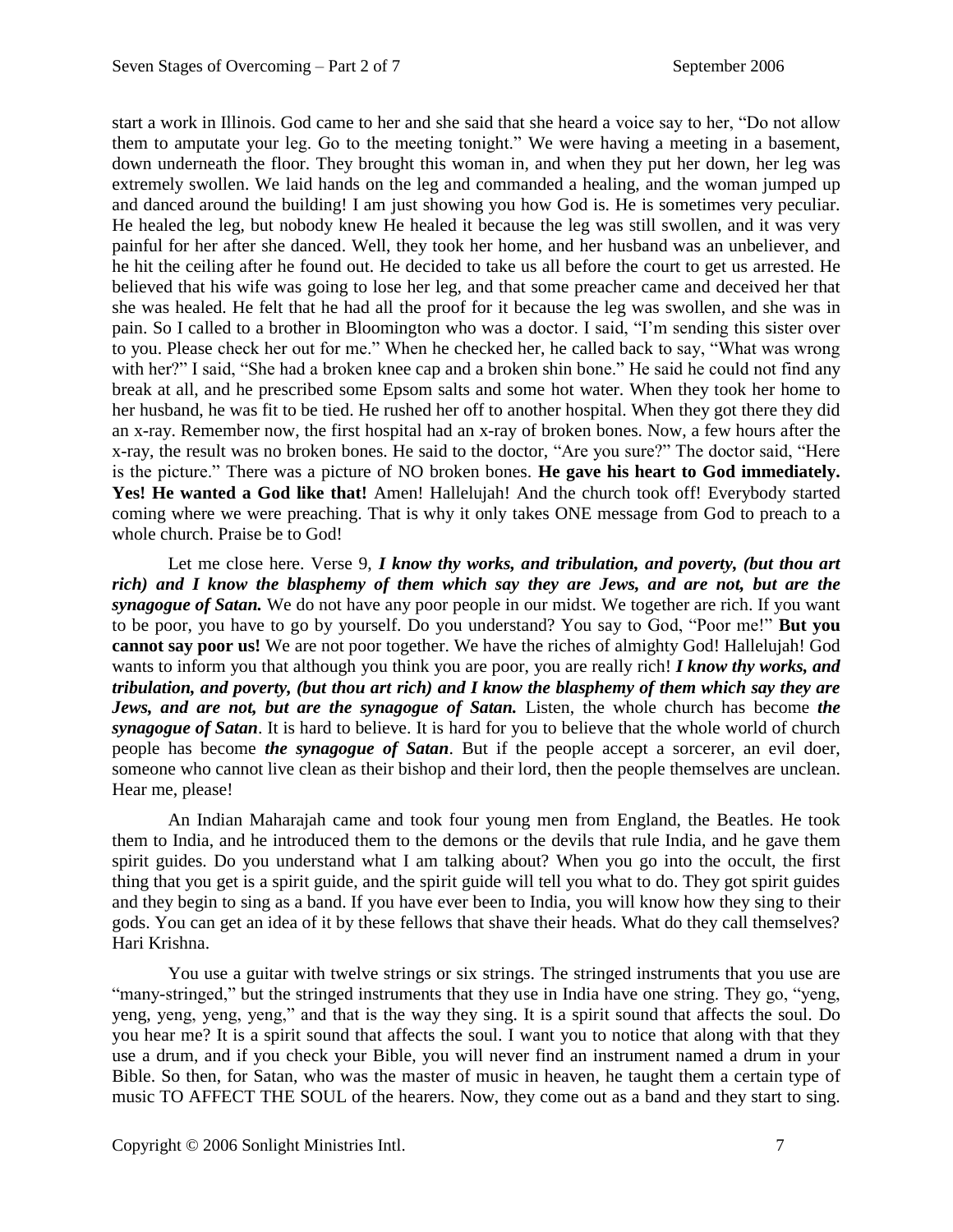start a work in Illinois. God came to her and she said that she heard a voice say to her, "Do not allow them to amputate your leg. Go to the meeting tonight." We were having a meeting in a basement, down underneath the floor. They brought this woman in, and when they put her down, her leg was extremely swollen. We laid hands on the leg and commanded a healing, and the woman jumped up and danced around the building! I am just showing you how God is. He is sometimes very peculiar. He healed the leg, but nobody knew He healed it because the leg was still swollen, and it was very painful for her after she danced. Well, they took her home, and her husband was an unbeliever, and he hit the ceiling after he found out. He decided to take us all before the court to get us arrested. He believed that his wife was going to lose her leg, and that some preacher came and deceived her that she was healed. He felt that he had all the proof for it because the leg was swollen, and she was in pain. So I called to a brother in Bloomington who was a doctor. I said, "I'm sending this sister over to you. Please check her out for me." When he checked her, he called back to say, "What was wrong with her?" I said, "She had a broken knee cap and a broken shin bone." He said he could not find any break at all, and he prescribed some Epsom salts and some hot water. When they took her home to her husband, he was fit to be tied. He rushed her off to another hospital. When they got there they did an x-ray. Remember now, the first hospital had an x-ray of broken bones. Now, a few hours after the x-ray, the result was no broken bones. He said to the doctor, "Are you sure?" The doctor said, "Here is the picture." There was a picture of NO broken bones. **He gave his heart to God immediately.**  Yes! He wanted a God like that! Amen! Hallelujah! And the church took off! Everybody started coming where we were preaching. That is why it only takes ONE message from God to preach to a whole church. Praise be to God!

Let me close here. Verse 9, *I know thy works, and tribulation, and poverty, (but thou art rich) and I know the blasphemy of them which say they are Jews, and are not, but are the synagogue of Satan.* We do not have any poor people in our midst. We together are rich. If you want to be poor, you have to go by yourself. Do you understand? You say to God, "Poor me!" **But you cannot say poor us!** We are not poor together. We have the riches of almighty God! Hallelujah! God wants to inform you that although you think you are poor, you are really rich! *I know thy works, and tribulation, and poverty, (but thou art rich) and I know the blasphemy of them which say they are Jews, and are not, but are the synagogue of Satan.* Listen, the whole church has become *the synagogue of Satan*. It is hard to believe. It is hard for you to believe that the whole world of church people has become *the synagogue of Satan*. But if the people accept a sorcerer, an evil doer, someone who cannot live clean as their bishop and their lord, then the people themselves are unclean. Hear me, please!

An Indian Maharajah came and took four young men from England, the Beatles. He took them to India, and he introduced them to the demons or the devils that rule India, and he gave them spirit guides. Do you understand what I am talking about? When you go into the occult, the first thing that you get is a spirit guide, and the spirit guide will tell you what to do. They got spirit guides and they begin to sing as a band. If you have ever been to India, you will know how they sing to their gods. You can get an idea of it by these fellows that shave their heads. What do they call themselves? Hari Krishna.

You use a guitar with twelve strings or six strings. The stringed instruments that you use are "many-stringed," but the stringed instruments that they use in India have one string. They go, "yeng, yeng, yeng, yeng, yeng," and that is the way they sing. It is a spirit sound that affects the soul. Do you hear me? It is a spirit sound that affects the soul. I want you to notice that along with that they use a drum, and if you check your Bible, you will never find an instrument named a drum in your Bible. So then, for Satan, who was the master of music in heaven, he taught them a certain type of music TO AFFECT THE SOUL of the hearers. Now, they come out as a band and they start to sing.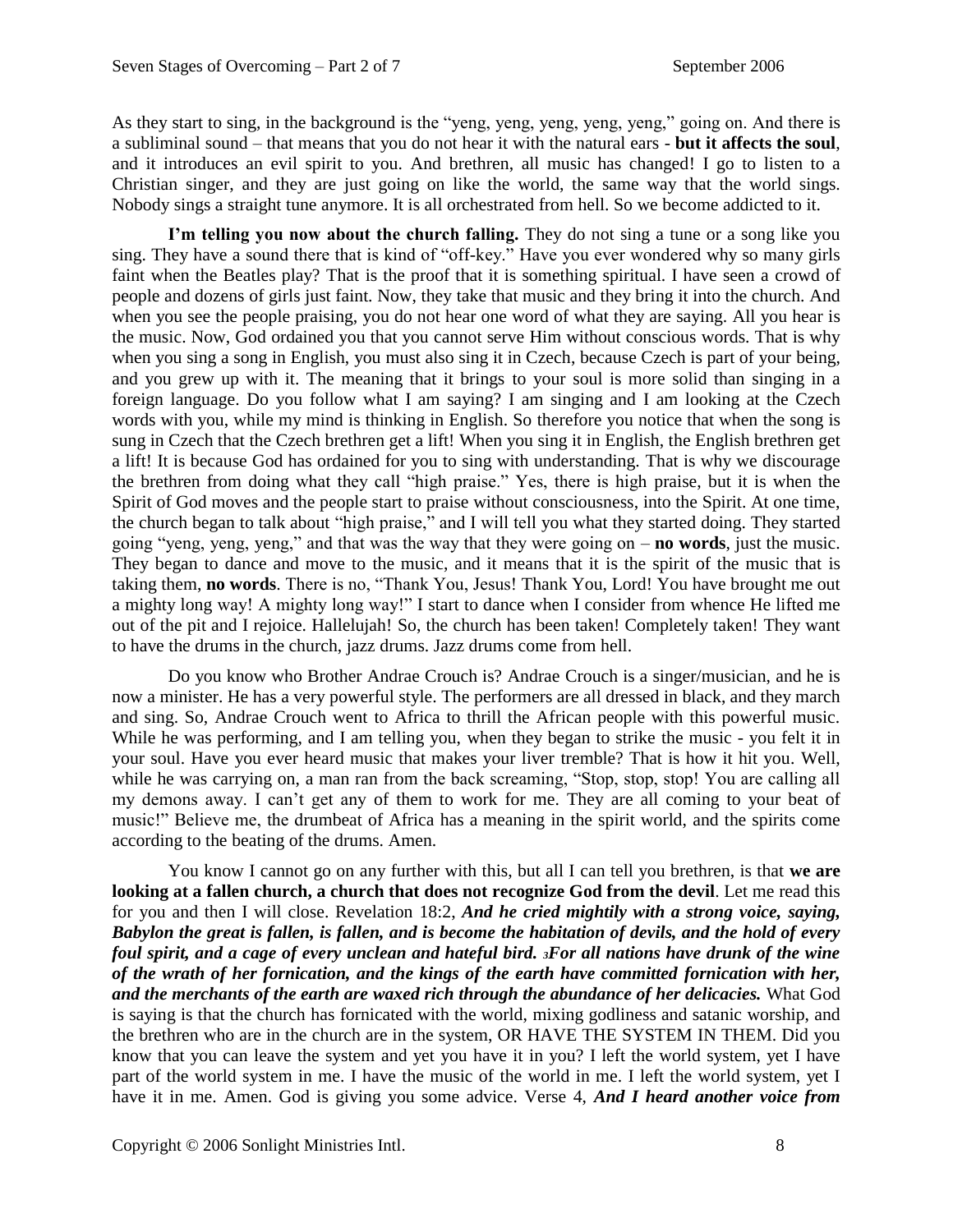As they start to sing, in the background is the "yeng, yeng, yeng, yeng, yeng," going on. And there is a subliminal sound – that means that you do not hear it with the natural ears - **but it affects the soul**, and it introduces an evil spirit to you. And brethren, all music has changed! I go to listen to a Christian singer, and they are just going on like the world, the same way that the world sings. Nobody sings a straight tune anymore. It is all orchestrated from hell. So we become addicted to it.

**I'm telling you now about the church falling.** They do not sing a tune or a song like you sing. They have a sound there that is kind of "off-key." Have you ever wondered why so many girls faint when the Beatles play? That is the proof that it is something spiritual. I have seen a crowd of people and dozens of girls just faint. Now, they take that music and they bring it into the church. And when you see the people praising, you do not hear one word of what they are saying. All you hear is the music. Now, God ordained you that you cannot serve Him without conscious words. That is why when you sing a song in English, you must also sing it in Czech, because Czech is part of your being, and you grew up with it. The meaning that it brings to your soul is more solid than singing in a foreign language. Do you follow what I am saying? I am singing and I am looking at the Czech words with you, while my mind is thinking in English. So therefore you notice that when the song is sung in Czech that the Czech brethren get a lift! When you sing it in English, the English brethren get a lift! It is because God has ordained for you to sing with understanding. That is why we discourage the brethren from doing what they call "high praise." Yes, there is high praise, but it is when the Spirit of God moves and the people start to praise without consciousness, into the Spirit. At one time, the church began to talk about "high praise," and I will tell you what they started doing. They started going "yeng, yeng, yeng," and that was the way that they were going on – **no words**, just the music. They began to dance and move to the music, and it means that it is the spirit of the music that is taking them, **no words**. There is no, "Thank You, Jesus! Thank You, Lord! You have brought me out a mighty long way! A mighty long way!" I start to dance when I consider from whence He lifted me out of the pit and I rejoice. Hallelujah! So, the church has been taken! Completely taken! They want to have the drums in the church, jazz drums. Jazz drums come from hell.

Do you know who Brother Andrae Crouch is? Andrae Crouch is a singer/musician, and he is now a minister. He has a very powerful style. The performers are all dressed in black, and they march and sing. So, Andrae Crouch went to Africa to thrill the African people with this powerful music. While he was performing, and I am telling you, when they began to strike the music - you felt it in your soul. Have you ever heard music that makes your liver tremble? That is how it hit you. Well, while he was carrying on, a man ran from the back screaming, "Stop, stop, stop! You are calling all my demons away. I can't get any of them to work for me. They are all coming to your beat of music!" Believe me, the drumbeat of Africa has a meaning in the spirit world, and the spirits come according to the beating of the drums. Amen.

You know I cannot go on any further with this, but all I can tell you brethren, is that **we are looking at a fallen church, a church that does not recognize God from the devil**. Let me read this for you and then I will close. Revelation 18:2, *And he cried mightily with a strong voice, saying, Babylon the great is fallen, is fallen, and is become the habitation of devils, and the hold of every foul spirit, and a cage of every unclean and hateful bird. 3For all nations have drunk of the wine of the wrath of her fornication, and the kings of the earth have committed fornication with her, and the merchants of the earth are waxed rich through the abundance of her delicacies.* What God is saying is that the church has fornicated with the world, mixing godliness and satanic worship, and the brethren who are in the church are in the system, OR HAVE THE SYSTEM IN THEM. Did you know that you can leave the system and yet you have it in you? I left the world system, yet I have part of the world system in me. I have the music of the world in me. I left the world system, yet I have it in me. Amen. God is giving you some advice. Verse 4, *And I heard another voice from*